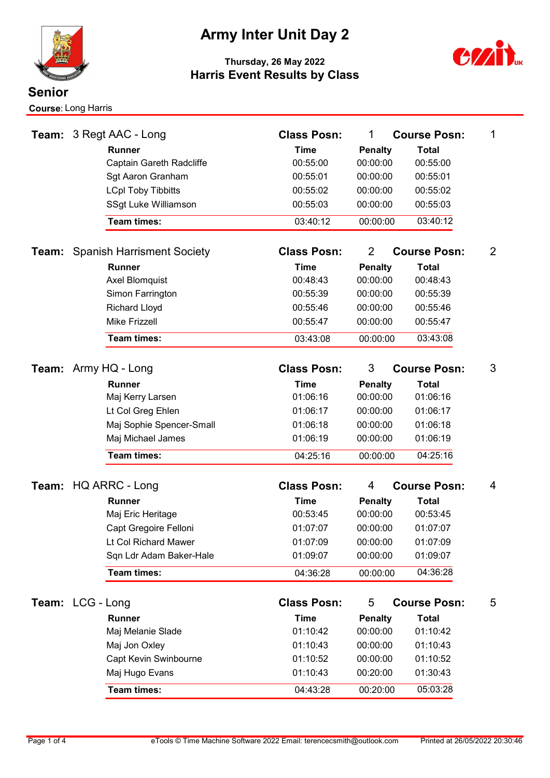

# Army Inter Unit Day 2



|                  |                                   | <b>Team: 3 Regt AAC - Long</b>             | <b>Class Posn:</b>                   | 1                          | <b>Course Posn:</b>      | 1 |
|------------------|-----------------------------------|--------------------------------------------|--------------------------------------|----------------------------|--------------------------|---|
|                  |                                   | <b>Runner</b>                              | <b>Time</b>                          | <b>Penalty</b>             | <b>Total</b>             |   |
|                  |                                   | Captain Gareth Radcliffe                   | 00:55:00                             | 00:00:00                   | 00:55:00                 |   |
|                  |                                   | Sgt Aaron Granham                          | 00:55:01                             | 00:00:00                   | 00:55:01                 |   |
|                  |                                   | <b>LCpl Toby Tibbitts</b>                  | 00:55:02                             | 00:00:00                   | 00:55:02                 |   |
|                  |                                   | SSgt Luke Williamson                       | 00:55:03                             | 00:00:00                   | 00:55:03                 |   |
|                  |                                   | <b>Team times:</b>                         | 03:40:12                             | 00:00:00                   | 03:40:12                 |   |
| Team:            | <b>Spanish Harrisment Society</b> |                                            | <b>Class Posn:</b><br>$\overline{2}$ |                            | <b>Course Posn:</b>      | 2 |
|                  |                                   | <b>Runner</b>                              | <b>Time</b>                          | <b>Penalty</b>             | <b>Total</b>             |   |
|                  |                                   | <b>Axel Blomquist</b>                      | 00:48:43                             | 00:00:00                   | 00:48:43                 |   |
|                  |                                   | Simon Farrington                           | 00:55:39                             | 00:00:00                   | 00:55:39                 |   |
|                  |                                   | <b>Richard Lloyd</b>                       | 00:55:46                             | 00:00:00                   | 00:55:46                 |   |
|                  |                                   | <b>Mike Frizzell</b>                       | 00:55:47                             | 00:00:00                   | 00:55:47                 |   |
|                  |                                   | <b>Team times:</b>                         | 03:43:08                             | 00:00:00                   | 03:43:08                 |   |
|                  |                                   | <b>Team:</b> Army HQ - Long                | <b>Class Posn:</b>                   | 3                          | <b>Course Posn:</b>      | 3 |
|                  |                                   | <b>Runner</b>                              | <b>Time</b>                          | <b>Penalty</b>             | <b>Total</b>             |   |
|                  |                                   | Maj Kerry Larsen                           | 01:06:16                             | 00:00:00                   | 01:06:16                 |   |
|                  |                                   | Lt Col Greg Ehlen                          | 01:06:17                             | 00:00:00                   | 01:06:17                 |   |
|                  |                                   | Maj Sophie Spencer-Small                   | 01:06:18                             | 00:00:00                   | 01:06:18                 |   |
|                  |                                   | Maj Michael James                          | 01:06:19                             | 00:00:00                   | 01:06:19                 |   |
|                  |                                   | <b>Team times:</b>                         | 04:25:16                             | 00:00:00                   | 04:25:16                 |   |
|                  |                                   |                                            | <b>Class Posn:</b>                   | 4                          |                          |   |
|                  |                                   | Team: HQ ARRC - Long                       |                                      |                            | <b>Course Posn:</b>      | 4 |
|                  |                                   | <b>Runner</b>                              | <b>Time</b><br>00:53:45              | <b>Penalty</b><br>00:00:00 | <b>Total</b><br>00:53:45 |   |
|                  |                                   | Maj Eric Heritage<br>Capt Gregoire Felloni | 01:07:07                             | 00:00:00                   | 01:07:07                 |   |
|                  |                                   | Lt Col Richard Mawer                       | 01:07:09                             | 00:00:00                   | 01:07:09                 |   |
|                  |                                   | Sqn Ldr Adam Baker-Hale                    | 01:09:07                             | 00:00:00                   | 01:09:07                 |   |
|                  |                                   | Team times:                                | 04:36:28                             | 00:00:00                   | 04:36:28                 |   |
|                  |                                   |                                            |                                      |                            |                          |   |
| Team: LCG - Long |                                   |                                            | <b>Class Posn:</b>                   | 5<br><b>Course Posn:</b>   |                          | 5 |
|                  |                                   | Runner                                     | <b>Time</b>                          | <b>Penalty</b>             | <b>Total</b>             |   |
|                  |                                   | Maj Melanie Slade                          | 01:10:42                             | 00:00:00                   | 01:10:42                 |   |
|                  |                                   | Maj Jon Oxley                              | 01:10:43                             | 00:00:00                   | 01:10:43                 |   |
|                  |                                   | Capt Kevin Swinbourne                      | 01:10:52                             | 00:00:00                   | 01:10:52                 |   |
|                  |                                   | Maj Hugo Evans                             | 01:10:43                             | 00:20:00                   | 01:30:43                 |   |
|                  |                                   | Team times:                                | 04:43:28                             | 00:20:00                   | 05:03:28                 |   |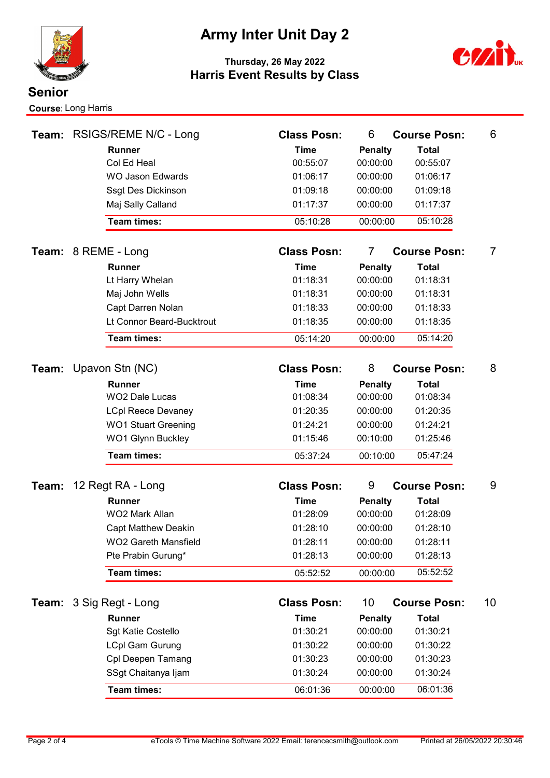

### Army Inter Unit Day 2



| Team: |                     | RSIGS/REME N/C - Long       | <b>Class Posn:</b>      | 6                                     |  | <b>Course Posn:</b> | 6  |
|-------|---------------------|-----------------------------|-------------------------|---------------------------------------|--|---------------------|----|
|       |                     | <b>Runner</b>               | <b>Time</b>             | <b>Penalty</b>                        |  | <b>Total</b>        |    |
|       |                     | Col Ed Heal                 | 00:55:07                | 00:00:00                              |  | 00:55:07            |    |
|       |                     | <b>WO Jason Edwards</b>     | 01:06:17                | 00:00:00                              |  | 01:06:17            |    |
|       |                     | Ssgt Des Dickinson          | 01:09:18                | 00:00:00                              |  | 01:09:18            |    |
|       |                     | Maj Sally Calland           | 01:17:37                | 00:00:00                              |  | 01:17:37            |    |
|       |                     | <b>Team times:</b>          | 05:10:28                | 00:00:00                              |  | 05:10:28            |    |
|       | Team: 8 REME - Long |                             | <b>Class Posn:</b>      | $\overline{7}$<br><b>Course Posn:</b> |  | 7                   |    |
|       |                     | <b>Runner</b>               | <b>Time</b>             | <b>Penalty</b>                        |  | <b>Total</b>        |    |
|       |                     | Lt Harry Whelan             | 01:18:31                | 00:00:00                              |  | 01:18:31            |    |
|       |                     | Maj John Wells              | 01:18:31                | 00:00:00                              |  | 01:18:31            |    |
|       |                     | Capt Darren Nolan           | 01:18:33                | 00:00:00                              |  | 01:18:33            |    |
|       |                     | Lt Connor Beard-Bucktrout   | 01:18:35                | 00:00:00                              |  | 01:18:35            |    |
|       |                     | <b>Team times:</b>          | 05:14:20                | 00:00:00                              |  | 05:14:20            |    |
|       |                     | Team: Upavon Stn (NC)       | <b>Class Posn:</b>      | 8                                     |  | <b>Course Posn:</b> | 8  |
|       |                     | <b>Runner</b>               |                         |                                       |  | <b>Total</b>        |    |
|       |                     | <b>WO2 Dale Lucas</b>       | <b>Time</b><br>01:08:34 | <b>Penalty</b><br>00:00:00            |  | 01:08:34            |    |
|       |                     | <b>LCpl Reece Devaney</b>   | 01:20:35                | 00:00:00                              |  | 01:20:35            |    |
|       |                     | <b>WO1 Stuart Greening</b>  | 01:24:21                | 00:00:00                              |  | 01:24:21            |    |
|       |                     | <b>WO1 Glynn Buckley</b>    | 01:15:46                | 00:10:00                              |  | 01:25:46            |    |
|       |                     | <b>Team times:</b>          | 05:37:24                | 00:10:00                              |  | 05:47:24            |    |
|       |                     |                             |                         |                                       |  |                     |    |
| Team: | 12 Regt RA - Long   |                             | <b>Class Posn:</b>      | 9                                     |  | <b>Course Posn:</b> | 9  |
|       |                     | <b>Runner</b>               | <b>Time</b>             | <b>Penalty</b>                        |  | <b>Total</b>        |    |
|       |                     | WO2 Mark Allan              | 01:28:09                | 00:00:00                              |  | 01:28:09            |    |
|       |                     | <b>Capt Matthew Deakin</b>  | 01:28:10                | 00:00:00                              |  | 01:28:10            |    |
|       |                     | <b>WO2 Gareth Mansfield</b> | 01:28:11                | 00:00:00                              |  | 01:28:11            |    |
|       |                     | Pte Prabin Gurung*          | 01:28:13                | 00:00:00                              |  | 01:28:13            |    |
|       |                     | Team times:                 | 05:52:52                | 00:00:00                              |  | 05:52:52            |    |
|       |                     | Team: 3 Sig Regt - Long     | <b>Class Posn:</b>      | 10 <sup>°</sup>                       |  | <b>Course Posn:</b> | 10 |
|       | Runner              |                             | <b>Time</b>             | <b>Penalty</b>                        |  | <b>Total</b>        |    |
|       |                     | Sgt Katie Costello          | 01:30:21                | 00:00:00                              |  | 01:30:21            |    |
|       |                     | <b>LCpl Gam Gurung</b>      | 01:30:22                | 00:00:00                              |  | 01:30:22            |    |
|       |                     | Cpl Deepen Tamang           | 01:30:23                | 00:00:00                              |  | 01:30:23            |    |
|       |                     | SSgt Chaitanya Ijam         | 01:30:24                | 00:00:00                              |  | 01:30:24            |    |
|       |                     | Team times:                 | 06:01:36                | 00:00:00                              |  | 06:01:36            |    |
|       |                     |                             |                         |                                       |  |                     |    |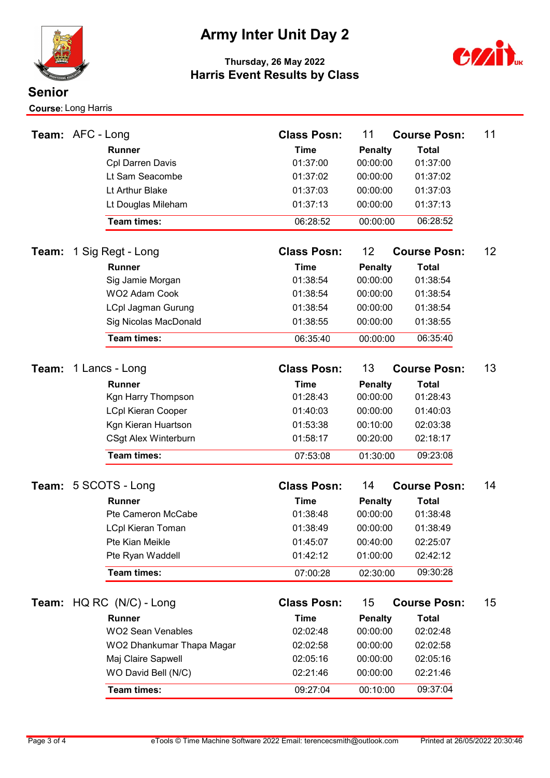

### Army Inter Unit Day 2



| Team: AFC - Long |                |                           | <b>Class Posn:</b> | 11                        | <b>Course Posn:</b> | 11 |
|------------------|----------------|---------------------------|--------------------|---------------------------|---------------------|----|
|                  |                | <b>Runner</b>             | <b>Time</b>        | <b>Penalty</b>            | <b>Total</b>        |    |
|                  |                | <b>Cpl Darren Davis</b>   | 01:37:00           | 00:00:00                  | 01:37:00            |    |
|                  |                | Lt Sam Seacombe           | 01:37:02           | 00:00:00                  | 01:37:02            |    |
|                  |                | Lt Arthur Blake           | 01:37:03           | 00:00:00                  | 01:37:03            |    |
|                  |                | Lt Douglas Mileham        | 01:37:13           | 00:00:00                  | 01:37:13            |    |
|                  |                | Team times:               | 06:28:52           | 00:00:00                  | 06:28:52            |    |
| Team:            |                | 1 Sig Regt - Long         | <b>Class Posn:</b> | 12                        | <b>Course Posn:</b> | 12 |
|                  |                | <b>Runner</b>             | <b>Time</b>        | <b>Penalty</b>            | <b>Total</b>        |    |
|                  |                | Sig Jamie Morgan          | 01:38:54           | 00:00:00                  | 01:38:54            |    |
|                  |                | WO2 Adam Cook             | 01:38:54           | 00:00:00                  | 01:38:54            |    |
|                  |                | <b>LCpl Jagman Gurung</b> | 01:38:54           | 00:00:00                  | 01:38:54            |    |
|                  |                | Sig Nicolas MacDonald     | 01:38:55           | 00:00:00                  | 01:38:55            |    |
|                  |                | Team times:               | 06:35:40           | 00:00:00                  | 06:35:40            |    |
|                  |                |                           |                    |                           |                     |    |
| Team:            | 1 Lancs - Long |                           | <b>Class Posn:</b> | 13<br><b>Course Posn:</b> | 13                  |    |
|                  |                | <b>Runner</b>             | <b>Time</b>        | <b>Penalty</b>            | <b>Total</b>        |    |
|                  |                | Kgn Harry Thompson        | 01:28:43           | 00:00:00                  | 01:28:43            |    |
|                  |                | <b>LCpl Kieran Cooper</b> | 01:40:03           | 00:00:00                  | 01:40:03            |    |
|                  |                | Kgn Kieran Huartson       | 01:53:38           | 00:10:00                  | 02:03:38            |    |
|                  |                | CSgt Alex Winterburn      | 01:58:17           | 00:20:00                  | 02:18:17            |    |
|                  |                | Team times:               | 07:53:08           | 01:30:00                  | 09:23:08            |    |
|                  |                | Team: 5 SCOTS - Long      | <b>Class Posn:</b> | 14                        | <b>Course Posn:</b> | 14 |
|                  |                | <b>Runner</b>             | <b>Time</b>        | <b>Penalty</b>            | <b>Total</b>        |    |
|                  |                | Pte Cameron McCabe        | 01:38:48           | 00:00:00                  | 01:38:48            |    |
|                  |                | <b>LCpl Kieran Toman</b>  | 01:38:49           | 00:00:00                  | 01:38:49            |    |
|                  |                | Pte Kian Meikle           | 01:45:07           | 00:40:00                  | 02:25:07            |    |
|                  |                | Pte Ryan Waddell          | 01:42:12           | 01:00:00                  | 02:42:12            |    |
|                  |                | Team times:               | 07:00:28           | 02:30:00                  | 09:30:28            |    |
|                  |                |                           |                    |                           |                     |    |
|                  |                | Team: HQ RC (N/C) - Long  | <b>Class Posn:</b> | 15                        | <b>Course Posn:</b> | 15 |
|                  |                | Runner                    | <b>Time</b>        | <b>Penalty</b>            | <b>Total</b>        |    |
|                  |                | <b>WO2 Sean Venables</b>  | 02:02:48           | 00:00:00                  | 02:02:48            |    |
|                  |                | WO2 Dhankumar Thapa Magar | 02:02:58           | 00:00:00                  | 02:02:58            |    |
|                  |                | Maj Claire Sapwell        | 02:05:16           | 00:00:00                  | 02:05:16            |    |
|                  |                | WO David Bell (N/C)       | 02:21:46           | 00:00:00                  | 02:21:46            |    |
|                  |                | <b>Team times:</b>        | 09:27:04           | 00:10:00                  | 09:37:04            |    |